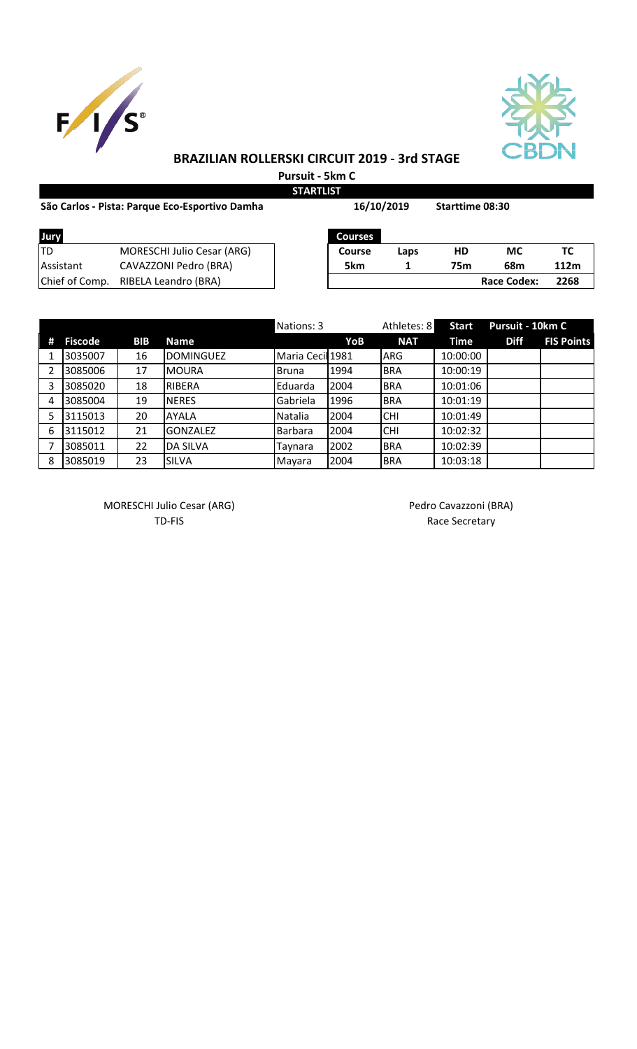



## **BRAZILIAN ROLLERSKI CIRCUIT 2019 - 3rd STAGE**

**Pursuit - 5km C STARTLIST**

**16/10/2019**

| São Carlos - Pista: Parque Eco-Esportivo Damha |  |
|------------------------------------------------|--|
|------------------------------------------------|--|

| Jury           |                                   | <b>Courses</b> |      |     |                    |      |
|----------------|-----------------------------------|----------------|------|-----|--------------------|------|
| TD             | <b>MORESCHI Julio Cesar (ARG)</b> | <b>Course</b>  | Laps | HD  | МC                 | тс   |
| Assistant      | CAVAZZONI Pedro (BRA)             | 5km            |      | 75m | 68m                | 112m |
| Chief of Comp. | RIBELA Leandro (BRA)              |                |      |     | <b>Race Codex:</b> | 2268 |

**Starttime 08:30** 

|   |                |            |                  | Nations: 3       |      | Athletes: 8 | <b>Start</b> | Pursuit - 10km C |                   |
|---|----------------|------------|------------------|------------------|------|-------------|--------------|------------------|-------------------|
| # | <b>Fiscode</b> | <b>BIB</b> | <b>Name</b>      |                  | YoB  | <b>NAT</b>  | Time         | <b>Diff</b>      | <b>FIS Points</b> |
|   | 3035007        | 16         | <b>DOMINGUEZ</b> | Maria Cecil 1981 |      | <b>ARG</b>  | 10:00:00     |                  |                   |
|   | 3085006        | 17         | <b>MOURA</b>     | Bruna            | 1994 | <b>BRA</b>  | 10:00:19     |                  |                   |
|   | 3085020        | 18         | RIBERA           | Eduarda          | 2004 | <b>BRA</b>  | 10:01:06     |                  |                   |
| 4 | 3085004        | 19         | <b>NERES</b>     | Gabriela         | 1996 | <b>BRA</b>  | 10:01:19     |                  |                   |
|   | 3115013        | 20         | <b>AYALA</b>     | Natalia          | 2004 | <b>CHI</b>  | 10:01:49     |                  |                   |
| 6 | 3115012        | 21         | <b>GONZALEZ</b>  | Barbara          | 2004 | <b>CHI</b>  | 10:02:32     |                  |                   |
|   | 3085011        | 22         | <b>DA SILVA</b>  | Taynara          | 2002 | <b>BRA</b>  | 10:02:39     |                  |                   |
| 8 | 3085019        | 23         | <b>SILVA</b>     | Mayara           | 2004 | <b>BRA</b>  | 10:03:18     |                  |                   |

MORESCHI Julio Cesar (ARG) MORESCHI Julio Cesar (ARG)

TD-FIS Race Secretary